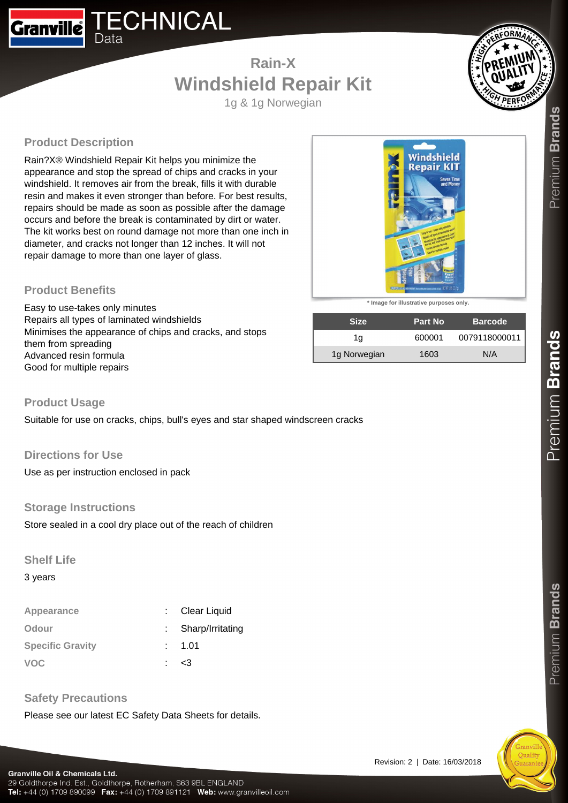## **TECHNICAL Granville** Data

# **Rain-X Windshield Repair Kit**

1g & 1g Norwegian



# **Product Description**

Rain?X® Windshield Repair Kit helps you minimize the appearance and stop the spread of chips and cracks in your windshield. It removes air from the break, fills it with durable resin and makes it even stronger than before. For best results, repairs should be made as soon as possible after the damage occurs and before the break is contaminated by dirt or water. The kit works best on round damage not more than one inch in diameter, and cracks not longer than 12 inches. It will not repair damage to more than one layer of glass.

#### **Product Benefits**

Easy to use-takes only minutes Repairs all types of laminated windshields Minimises the appearance of chips and cracks, and stops them from spreading Advanced resin formula Good for multiple repairs



**\* Image for illustrative purposes only.**

| <b>Size</b>  | <b>Part No</b> | <b>Barcode</b> |
|--------------|----------------|----------------|
| 1a           | 600001         | 0079118000011  |
| 1g Norwegian | 1603           | N/A            |

#### **Product Usage**

Suitable for use on cracks, chips, bull's eyes and star shaped windscreen cracks

#### **Directions for Use**

Use as per instruction enclosed in pack

#### **Storage Instructions**

Store sealed in a cool dry place out of the reach of children

#### **Shelf Life**

3 years

| Appearance              | Clear Liquid       |
|-------------------------|--------------------|
| Odour                   | : Sharp/Irritating |
| <b>Specific Gravity</b> | : 1.01             |
| <b>VOC</b>              | <3                 |

## **Safety Precautions**

Please see our latest EC Safety Data Sheets for details.